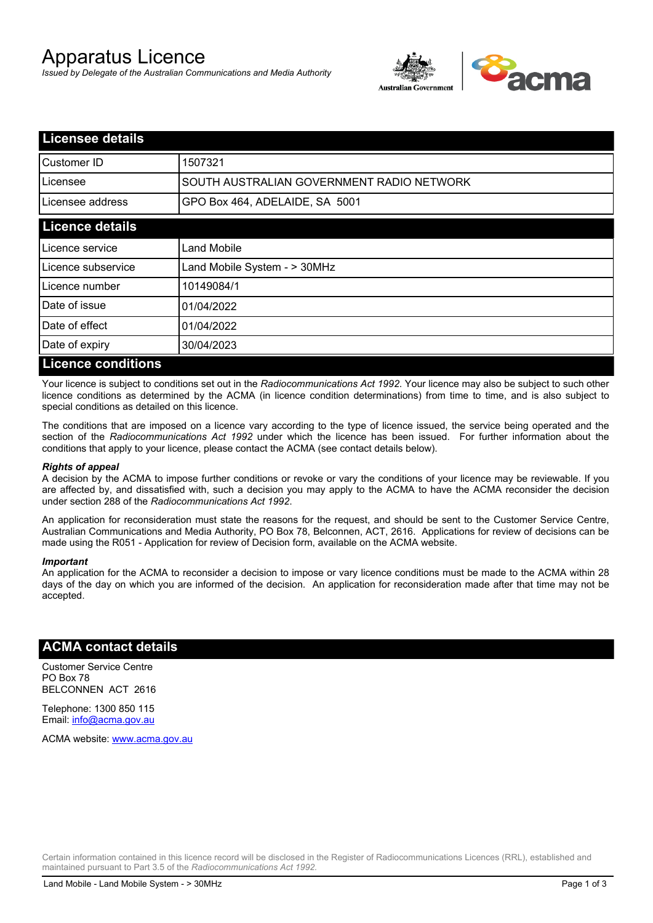# Apparatus Licence

*Issued by Delegate of the Australian Communications and Media Authority*



| <b>Licensee details</b>   |                                           |
|---------------------------|-------------------------------------------|
| <b>I</b> Customer ID      | 1507321                                   |
| Licensee                  | SOUTH AUSTRALIAN GOVERNMENT RADIO NETWORK |
| Licensee address          | GPO Box 464, ADELAIDE, SA 5001            |
| <b>Licence details</b>    |                                           |
| Licence service           | <b>Land Mobile</b>                        |
| Licence subservice        | Land Mobile System - > 30MHz              |
| Licence number            | 10149084/1                                |
| Date of issue             | 01/04/2022                                |
| Date of effect            | 01/04/2022                                |
| Date of expiry            | 30/04/2023                                |
| <b>Licence conditions</b> |                                           |

Your licence is subject to conditions set out in the *Radiocommunications Act 1992*. Your licence may also be subject to such other licence conditions as determined by the ACMA (in licence condition determinations) from time to time, and is also subject to special conditions as detailed on this licence.

The conditions that are imposed on a licence vary according to the type of licence issued, the service being operated and the section of the *Radiocommunications Act 1992* under which the licence has been issued. For further information about the conditions that apply to your licence, please contact the ACMA (see contact details below).

#### *Rights of appeal*

A decision by the ACMA to impose further conditions or revoke or vary the conditions of your licence may be reviewable. If you are affected by, and dissatisfied with, such a decision you may apply to the ACMA to have the ACMA reconsider the decision under section 288 of the *Radiocommunications Act 1992*.

An application for reconsideration must state the reasons for the request, and should be sent to the Customer Service Centre, Australian Communications and Media Authority, PO Box 78, Belconnen, ACT, 2616. Applications for review of decisions can be made using the R051 - Application for review of Decision form, available on the ACMA website.

#### *Important*

An application for the ACMA to reconsider a decision to impose or vary licence conditions must be made to the ACMA within 28 days of the day on which you are informed of the decision. An application for reconsideration made after that time may not be accepted.

### **ACMA contact details**

Customer Service Centre PO Box 78 BELCONNEN ACT 2616

Telephone: 1300 850 115 Email: info@acma.gov.au

ACMA website: www.acma.gov.au

Certain information contained in this licence record will be disclosed in the Register of Radiocommunications Licences (RRL), established and maintained pursuant to Part 3.5 of the *Radiocommunications Act 1992.*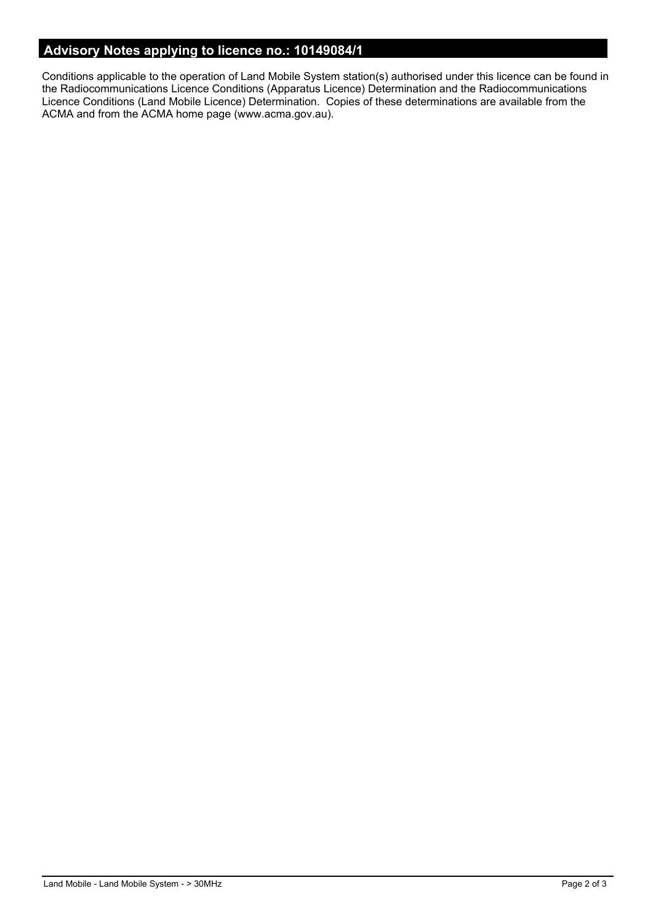# **Advisory Notes applying to licence no.: 10149084/1**

Conditions applicable to the operation of Land Mobile System station(s) authorised under this licence can be found in the Radiocommunications Licence Conditions (Apparatus Licence) Determination and the Radiocommunications Licence Conditions (Land Mobile Licence) Determination. Copies of these determinations are available from the ACMA and from the ACMA home page (www.acma.gov.au).